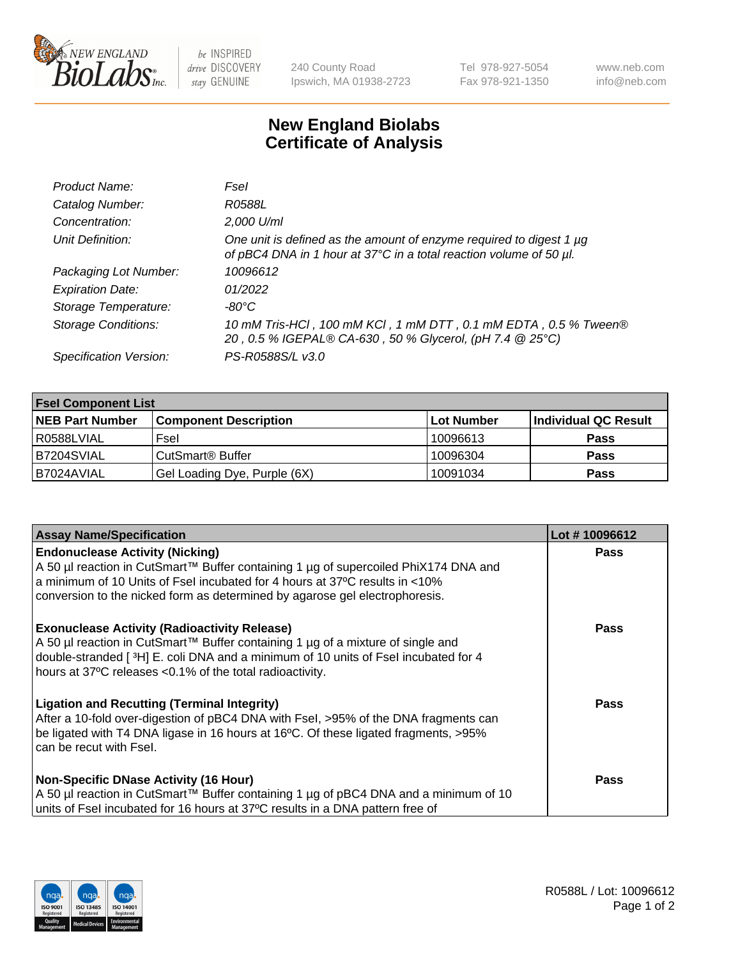

 $be$  INSPIRED drive DISCOVERY stay GENUINE

240 County Road Ipswich, MA 01938-2723 Tel 978-927-5054 Fax 978-921-1350 www.neb.com info@neb.com

## **New England Biolabs Certificate of Analysis**

| Product Name:              | Fsel                                                                                                                                      |
|----------------------------|-------------------------------------------------------------------------------------------------------------------------------------------|
| Catalog Number:            | R0588L                                                                                                                                    |
| Concentration:             | 2,000 U/ml                                                                                                                                |
| Unit Definition:           | One unit is defined as the amount of enzyme required to digest 1 µg<br>of pBC4 DNA in 1 hour at 37°C in a total reaction volume of 50 µl. |
| Packaging Lot Number:      | 10096612                                                                                                                                  |
| <b>Expiration Date:</b>    | 01/2022                                                                                                                                   |
| Storage Temperature:       | $-80^{\circ}$ C                                                                                                                           |
| <b>Storage Conditions:</b> | 10 mM Tris-HCl, 100 mM KCl, 1 mM DTT, 0.1 mM EDTA, 0.5 % Tween®<br>20, 0.5 % IGEPAL® CA-630, 50 % Glycerol, (pH 7.4 @ 25°C)               |
| Specification Version:     | PS-R0588S/L v3.0                                                                                                                          |

| <b>Fsel Component List</b> |                              |                   |                      |  |  |
|----------------------------|------------------------------|-------------------|----------------------|--|--|
| <b>NEB Part Number</b>     | <b>Component Description</b> | <b>Lot Number</b> | Individual QC Result |  |  |
| R0588LVIAL                 | Fsel                         | 10096613          | <b>Pass</b>          |  |  |
| B7204SVIAL                 | CutSmart <sup>®</sup> Buffer | 10096304          | <b>Pass</b>          |  |  |
| B7024AVIAL                 | Gel Loading Dye, Purple (6X) | 10091034          | <b>Pass</b>          |  |  |

| <b>Assay Name/Specification</b>                                                                                                                                                                                                                                                          | Lot #10096612 |
|------------------------------------------------------------------------------------------------------------------------------------------------------------------------------------------------------------------------------------------------------------------------------------------|---------------|
| <b>Endonuclease Activity (Nicking)</b><br>  A 50 µl reaction in CutSmart™ Buffer containing 1 µg of supercoiled PhiX174 DNA and<br>a minimum of 10 Units of Fsel incubated for 4 hours at 37°C results in <10%                                                                           | <b>Pass</b>   |
| conversion to the nicked form as determined by agarose gel electrophoresis.                                                                                                                                                                                                              |               |
| <b>Exonuclease Activity (Radioactivity Release)</b><br>A 50 µl reaction in CutSmart™ Buffer containing 1 µg of a mixture of single and<br>double-stranded [3H] E. coli DNA and a minimum of 10 units of Fsel incubated for 4<br>hours at 37°C releases <0.1% of the total radioactivity. | <b>Pass</b>   |
| <b>Ligation and Recutting (Terminal Integrity)</b><br>After a 10-fold over-digestion of pBC4 DNA with Fsel, >95% of the DNA fragments can<br>be ligated with T4 DNA ligase in 16 hours at 16°C. Of these ligated fragments, >95%<br>can be recut with Fsel.                              | Pass          |
| <b>Non-Specific DNase Activity (16 Hour)</b>                                                                                                                                                                                                                                             | <b>Pass</b>   |
| A 50 µl reaction in CutSmart™ Buffer containing 1 µg of pBC4 DNA and a minimum of 10<br>units of Fsel incubated for 16 hours at 37°C results in a DNA pattern free of                                                                                                                    |               |